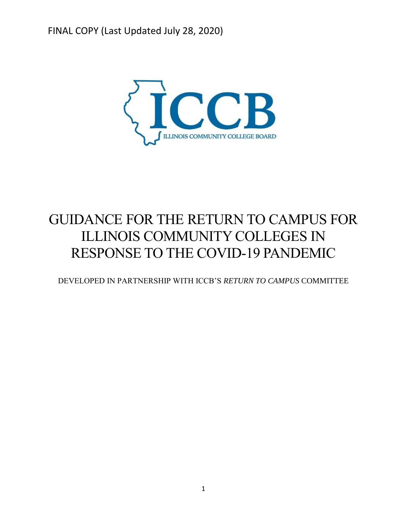

# GUIDANCE FOR THE RETURN TO CAMPUS FOR ILLINOIS COMMUNITY COLLEGES IN RESPONSE TO THE COVID-19 PANDEMIC

DEVELOPED IN PARTNERSHIP WITH ICCB'S *RETURN TO CAMPUS* COMMITTEE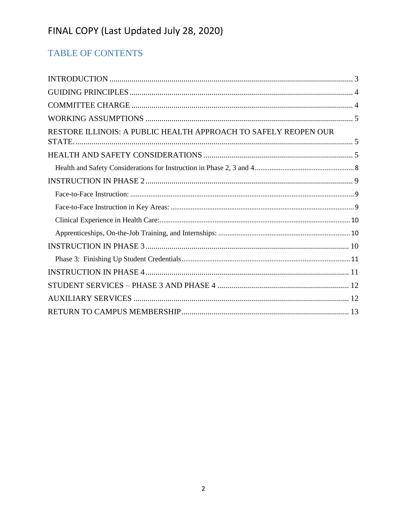# TABLE OF CONTENTS

| RESTORE ILLINOIS: A PUBLIC HEALTH APPROACH TO SAFELY REOPEN OUR |
|-----------------------------------------------------------------|
|                                                                 |
|                                                                 |
|                                                                 |
|                                                                 |
|                                                                 |
|                                                                 |
|                                                                 |
|                                                                 |
|                                                                 |
|                                                                 |
|                                                                 |
|                                                                 |
|                                                                 |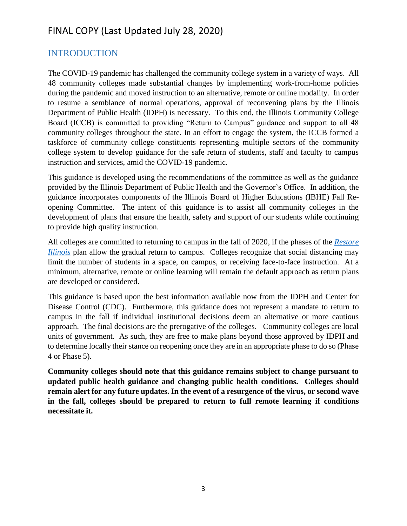### <span id="page-2-0"></span>INTRODUCTION

The COVID-19 pandemic has challenged the community college system in a variety of ways. All 48 community colleges made substantial changes by implementing work-from-home policies during the pandemic and moved instruction to an alternative, remote or online modality. In order to resume a semblance of normal operations, approval of reconvening plans by the Illinois Department of Public Health (IDPH) is necessary. To this end, the Illinois Community College Board (ICCB) is committed to providing "Return to Campus" guidance and support to all 48 community colleges throughout the state. In an effort to engage the system, the ICCB formed a taskforce of community college constituents representing multiple sectors of the community college system to develop guidance for the safe return of students, staff and faculty to campus instruction and services, amid the COVID-19 pandemic.

This guidance is developed using the recommendations of the committee as well as the guidance provided by the Illinois Department of Public Health and the Governor's Office. In addition, the guidance incorporates components of the Illinois Board of Higher Educations (IBHE) Fall Reopening Committee. The intent of this guidance is to assist all community colleges in the development of plans that ensure the health, safety and support of our students while continuing to provide high quality instruction.

All colleges are committed to returning to campus in the fall of 2020, if the phases of the *[Restore](https://coronavirus.illinois.gov/sfc/servlet.shepherd/document/download/069t000000BadS0AAJ?operationContext=S1)  [Illinois](https://coronavirus.illinois.gov/sfc/servlet.shepherd/document/download/069t000000BadS0AAJ?operationContext=S1)* plan allow the gradual return to campus. Colleges recognize that social distancing may limit the number of students in a space, on campus, or receiving face-to-face instruction. At a minimum, alternative, remote or online learning will remain the default approach as return plans are developed or considered.

This guidance is based upon the best information available now from the IDPH and Center for Disease Control (CDC). Furthermore, this guidance does not represent a mandate to return to campus in the fall if individual institutional decisions deem an alternative or more cautious approach. The final decisions are the prerogative of the colleges. Community colleges are local units of government. As such, they are free to make plans beyond those approved by IDPH and to determine locally their stance on reopening once they are in an appropriate phase to do so (Phase 4 or Phase 5).

**Community colleges should note that this guidance remains subject to change pursuant to updated public health guidance and changing public health conditions. Colleges should remain alert for any future updates. In the event of a resurgence of the virus, or second wave in the fall, colleges should be prepared to return to full remote learning if conditions necessitate it.**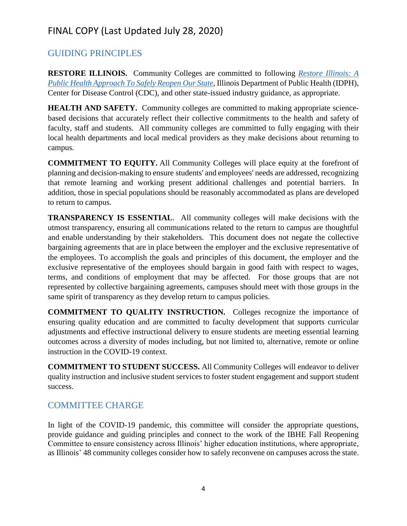### <span id="page-3-0"></span>GUIDING PRINCIPLES

**RESTORE ILLINOIS.** Community Colleges are committed to following *[Restore Illinois: A](https://coronavirus.illinois.gov/sfc/servlet.shepherd/document/download/069t000000BadS0AAJ?operationContext=S1)  [Public Health Approach To Safely Reopen Our State](https://coronavirus.illinois.gov/sfc/servlet.shepherd/document/download/069t000000BadS0AAJ?operationContext=S1)*, Illinois Department of Public Health (IDPH), Center for Disease Control (CDC), and other state-issued industry guidance, as appropriate.

**HEALTH AND SAFETY.** Community colleges are committed to making appropriate sciencebased decisions that accurately reflect their collective commitments to the health and safety of faculty, staff and students. All community colleges are committed to fully engaging with their local health departments and local medical providers as they make decisions about returning to campus.

**COMMITMENT TO EQUITY.** All Community Colleges will place equity at the forefront of planning and decision-making to ensure students' and employees' needs are addressed, recognizing that remote learning and working present additional challenges and potential barriers. In addition, those in special populations should be reasonably accommodated as plans are developed to return to campus.

**TRANSPARENCY IS ESSENTIAL**. All community colleges will make decisions with the utmost transparency, ensuring all communications related to the return to campus are thoughtful and enable understanding by their stakeholders. This document does not negate the collective bargaining agreements that are in place between the employer and the exclusive representative of the employees. To accomplish the goals and principles of this document, the employer and the exclusive representative of the employees should bargain in good faith with respect to wages, terms, and conditions of employment that may be affected. For those groups that are not represented by collective bargaining agreements, campuses should meet with those groups in the same spirit of transparency as they develop return to campus policies.

**COMMITMENT TO QUALITY INSTRUCTION.** Colleges recognize the importance of ensuring quality education and are committed to faculty development that supports curricular adjustments and effective instructional delivery to ensure students are meeting essential learning outcomes across a diversity of modes including, but not limited to, alternative, remote or online instruction in the COVID-19 context.

**COMMITMENT TO STUDENT SUCCESS.** All Community Colleges will endeavor to deliver quality instruction and inclusive student services to foster student engagement and support student success.

### <span id="page-3-1"></span>COMMITTEE CHARGE

In light of the COVID-19 pandemic, this committee will consider the appropriate questions, provide guidance and guiding principles and connect to the work of the IBHE Fall Reopening Committee to ensure consistency across Illinois' higher education institutions, where appropriate, as Illinois' 48 community colleges consider how to safely reconvene on campuses across the state.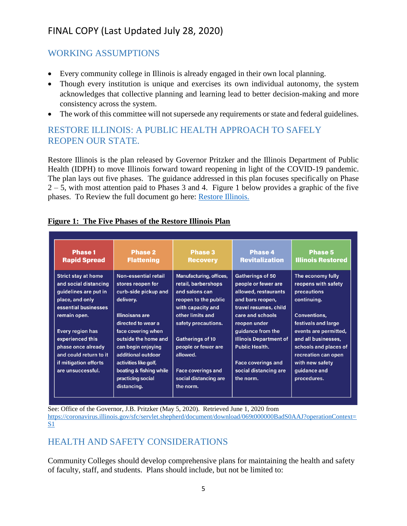### <span id="page-4-0"></span>WORKING ASSUMPTIONS

- Every community college in Illinois is already engaged in their own local planning.
- Though every institution is unique and exercises its own individual autonomy, the system acknowledges that collective planning and learning lead to better decision-making and more consistency across the system.
- The work of this committee will not supersede any requirements or state and federal guidelines.

### <span id="page-4-1"></span>RESTORE ILLINOIS: A PUBLIC HEALTH APPROACH TO SAFELY REOPEN OUR STATE.

Restore Illinois is the plan released by Governor Pritzker and the Illinois Department of Public Health (IDPH) to move Illinois forward toward reopening in light of the COVID-19 pandemic. The plan lays out five phases. The guidance addressed in this plan focuses specifically on Phase  $2 - 5$ , with most attention paid to Phases 3 and 4. Figure 1 below provides a graphic of the five phases. To Review the full document go here: [Restore Illinois.](https://coronavirus.illinois.gov/sfc/servlet.shepherd/document/download/069t000000BadS0AAJ?operationContext=S1)

| <b>Phase 1</b><br><b>Rapid Spread</b>                                                                                   | <b>Phase 2</b><br><b>Flattening</b>                                                                             | <b>Phase 3</b><br><b>Recovery</b>                                                                             | <b>Phase 4</b><br><b>Revitalization</b>                                                                      | <b>Phase 5</b><br><b>Illinois Restored</b>                                                                      |
|-------------------------------------------------------------------------------------------------------------------------|-----------------------------------------------------------------------------------------------------------------|---------------------------------------------------------------------------------------------------------------|--------------------------------------------------------------------------------------------------------------|-----------------------------------------------------------------------------------------------------------------|
| <b>Strict stay at home</b><br>and social distancing<br>quidelines are put in<br>place, and only<br>essential businesses | Non-essential retail<br>stores reopen for<br>curb-side pickup and<br>delivery.                                  | Manufacturing, offices,<br>retail, barbershops<br>and salons can<br>reopen to the public<br>with capacity and | Gatherings of 50<br>people or fewer are<br>allowed, restaurants<br>and bars reopen,<br>travel resumes, child | The economy fully<br>reopens with safety<br>precautions<br>continuing.                                          |
| remain open.                                                                                                            | <b>Illinoisans are</b><br>directed to wear a                                                                    | other limits and<br>safety precautions.                                                                       | care and schools<br>reopen under                                                                             | Conventions,<br>festivals and large                                                                             |
| Every region has<br>experienced this<br>phase once already<br>and could return to it<br>if mitigation efforts           | face covering when<br>outside the home and<br>can begin enjoying<br>additional outdoor<br>activities like golf, | Gatherings of 10<br>people or fewer are<br>allowed.                                                           | guidance from the<br><b>Illinois Department of</b><br><b>Public Health.</b><br><b>Face coverings and</b>     | events are permitted,<br>and all businesses,<br>schools and places of<br>recreation can open<br>with new safety |
| are unsuccessful.                                                                                                       | boating & fishing while<br>practicing social<br>distancing.                                                     | <b>Face coverings and</b><br>social distancing are<br>the norm.                                               | social distancing are<br>the norm.                                                                           | guidance and<br>procedures.                                                                                     |

#### **Figure 1: The Five Phases of the Restore Illinois Plan**

See: Office of the Governor, J.B. Pritzker (May 5, 2020). Retrieved June 1, 2020 from [https://coronavirus.illinois.gov/sfc/servlet.shepherd/document/download/069t000000BadS0AAJ?operationContext=](https://coronavirus.illinois.gov/sfc/servlet.shepherd/document/download/069t000000BadS0AAJ?operationContext=S1) [S1](https://coronavirus.illinois.gov/sfc/servlet.shepherd/document/download/069t000000BadS0AAJ?operationContext=S1)

# <span id="page-4-2"></span>HEALTH AND SAFETY CONSIDERATIONS

Community Colleges should develop comprehensive plans for maintaining the health and safety of faculty, staff, and students. Plans should include, but not be limited to: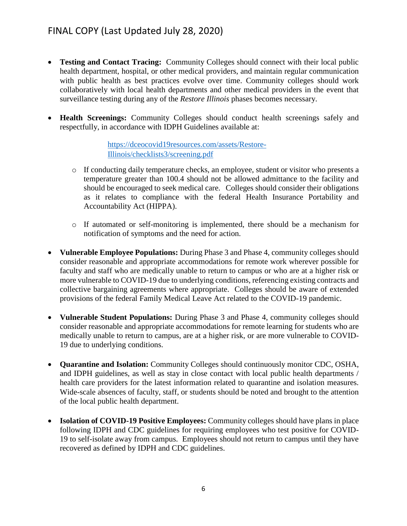- **Testing and Contact Tracing:** Community Colleges should connect with their local public health department, hospital, or other medical providers, and maintain regular communication with public health as best practices evolve over time. Community colleges should work collaboratively with local health departments and other medical providers in the event that surveillance testing during any of the *Restore Illinois* phases becomes necessary.
- **Health Screenings:** Community Colleges should conduct health screenings safely and respectfully, in accordance with IDPH Guidelines available at:

[https://dceocovid19resources.com/assets/Restore-](https://dceocovid19resources.com/assets/Restore-Illinois/checklists3/screening.pdf)[Illinois/checklists3/screening.pdf](https://dceocovid19resources.com/assets/Restore-Illinois/checklists3/screening.pdf)

- o If conducting daily temperature checks, an employee, student or visitor who presents a temperature greater than 100.4 should not be allowed admittance to the facility and should be encouraged to seek medical care. Colleges should consider their obligations as it relates to compliance with the federal Health Insurance Portability and Accountability Act (HIPPA).
- o If automated or self-monitoring is implemented, there should be a mechanism for notification of symptoms and the need for action.
- **Vulnerable Employee Populations:** During Phase 3 and Phase 4, community colleges should consider reasonable and appropriate accommodations for remote work wherever possible for faculty and staff who are medically unable to return to campus or who are at a higher risk or more vulnerable to COVID-19 due to underlying conditions, referencing existing contracts and collective bargaining agreements where appropriate. Colleges should be aware of extended provisions of the federal Family Medical Leave Act related to the COVID-19 pandemic.
- **Vulnerable Student Populations:** During Phase 3 and Phase 4, community colleges should consider reasonable and appropriate accommodations for remote learning for students who are medically unable to return to campus, are at a higher risk, or are more vulnerable to COVID-19 due to underlying conditions.
- **Quarantine and Isolation:** Community Colleges should continuously monitor CDC, OSHA, and IDPH guidelines, as well as stay in close contact with local public health departments / health care providers for the latest information related to quarantine and isolation measures. Wide-scale absences of faculty, staff, or students should be noted and brought to the attention of the local public health department.
- **Isolation of COVID-19 Positive Employees:** Community colleges should have plans in place following IDPH and CDC guidelines for requiring employees who test positive for COVID-19 to self-isolate away from campus. Employees should not return to campus until they have recovered as defined by IDPH and CDC guidelines.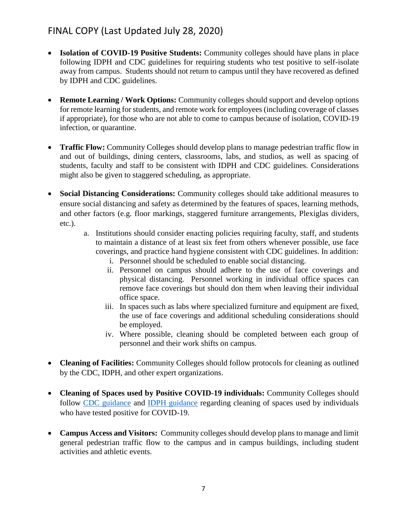- **Isolation of COVID-19 Positive Students:** Community colleges should have plans in place following IDPH and CDC guidelines for requiring students who test positive to self-isolate away from campus. Students should not return to campus until they have recovered as defined by IDPH and CDC guidelines.
- **Remote Learning / Work Options:** Community colleges should support and develop options for remote learning for students, and remote work for employees (including coverage of classes if appropriate), for those who are not able to come to campus because of isolation, COVID-19 infection, or quarantine.
- **Traffic Flow:** Community Colleges should develop plans to manage pedestrian traffic flow in and out of buildings, dining centers, classrooms, labs, and studios, as well as spacing of students, faculty and staff to be consistent with IDPH and CDC guidelines. Considerations might also be given to staggered scheduling, as appropriate.
- **Social Distancing Considerations:** Community colleges should take additional measures to ensure social distancing and safety as determined by the features of spaces, learning methods, and other factors (e.g. floor markings, staggered furniture arrangements, Plexiglas dividers, etc.).
	- a. Institutions should consider enacting policies requiring faculty, staff, and students to maintain a distance of at least six feet from others whenever possible, use face coverings, and practice hand hygiene consistent with CDC guidelines. In addition:
		- i. Personnel should be scheduled to enable social distancing.
		- ii. Personnel on campus should adhere to the use of face coverings and physical distancing. Personnel working in individual office spaces can remove face coverings but should don them when leaving their individual office space.
		- iii. In spaces such as labs where specialized furniture and equipment are fixed, the use of face coverings and additional scheduling considerations should be employed.
		- iv. Where possible, cleaning should be completed between each group of personnel and their work shifts on campus.
- **Cleaning of Facilities:** Community Colleges should follow protocols for cleaning as outlined by the CDC, IDPH, and other expert organizations.
- **Cleaning of Spaces used by Positive COVID-19 individuals:** Community Colleges should follow [CDC guidance](https://www.cdc.gov/coronavirus/2019-ncov/community/organizations/cleaning-disinfection.html#Cleaning) and [IDPH guidance](https://www.dph.illinois.gov/topics-services/diseases-and-conditions/diseases-a-z-list/coronavirus/preventing-spread-communities/community) regarding cleaning of spaces used by individuals who have tested positive for COVID-19.
- **Campus Access and Visitors:** Community colleges should develop plans to manage and limit general pedestrian traffic flow to the campus and in campus buildings, including student activities and athletic events.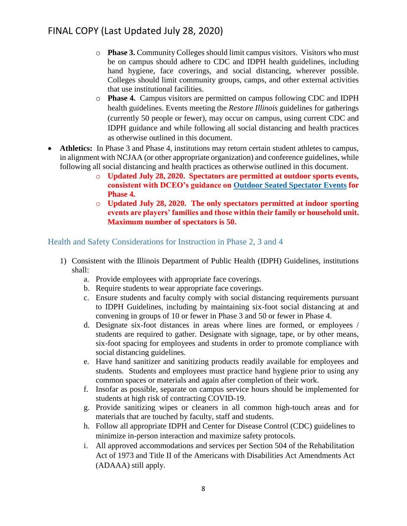- o **Phase 3.** Community Colleges should limit campus visitors. Visitors who must be on campus should adhere to CDC and IDPH health guidelines, including hand hygiene, face coverings, and social distancing, wherever possible. Colleges should limit community groups, camps, and other external activities that use institutional facilities.
- o **Phase 4.** Campus visitors are permitted on campus following CDC and IDPH health guidelines. Events meeting the *Restore Illinois* guidelines for gatherings (currently 50 people or fewer), may occur on campus, using current CDC and IDPH guidance and while following all social distancing and health practices as otherwise outlined in this document.
- **Athletics:** In Phase 3 and Phase 4, institutions may return certain student athletes to campus, in alignment with NCJAA (or other appropriate organization) and conference guidelines, while following all social distancing and health practices as otherwise outlined in this document.
	- o **Updated July 28, 2020. Spectators are permitted at outdoor sports events, consistent with DCEO's guidance on [Outdoor Seated Spectator Events](https://dceocovid19resources.com/restore-illinois/restore-illinois-phase-4/outdoor-seated-spectator-events/) for Phase 4.**
	- o **Updated July 28, 2020. The only spectators permitted at indoor sporting events are players' families and those within their family or household unit. Maximum number of spectators is 50.**

#### <span id="page-7-0"></span>Health and Safety Considerations for Instruction in Phase 2, 3 and 4

- 1) Consistent with the Illinois Department of Public Health (IDPH) Guidelines, institutions shall:
	- a. Provide employees with appropriate face coverings.
	- b. Require students to wear appropriate face coverings.
	- c. Ensure students and faculty comply with social distancing requirements pursuant to IDPH Guidelines, including by maintaining six-foot social distancing at and convening in groups of 10 or fewer in Phase 3 and 50 or fewer in Phase 4.
	- d. Designate six-foot distances in areas where lines are formed, or employees / students are required to gather. Designate with signage, tape, or by other means, six-foot spacing for employees and students in order to promote compliance with social distancing guidelines.
	- e. Have hand sanitizer and sanitizing products readily available for employees and students. Students and employees must practice hand hygiene prior to using any common spaces or materials and again after completion of their work.
	- f. Insofar as possible, separate on campus service hours should be implemented for students at high risk of contracting COVID-19.
	- g. Provide sanitizing wipes or cleaners in all common high-touch areas and for materials that are touched by faculty, staff and students.
	- h. Follow all appropriate IDPH and Center for Disease Control (CDC) guidelines to minimize in-person interaction and maximize safety protocols.
	- i. All approved accommodations and services per Section 504 of the Rehabilitation Act of 1973 and Title II of the Americans with Disabilities Act Amendments Act (ADAAA) still apply.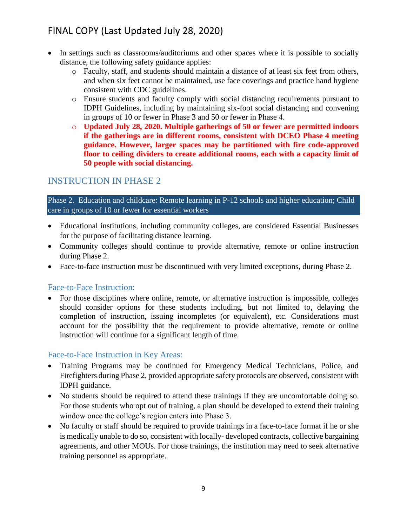- In settings such as classrooms/auditoriums and other spaces where it is possible to socially distance, the following safety guidance applies:
	- o Faculty, staff, and students should maintain a distance of at least six feet from others, and when six feet cannot be maintained, use face coverings and practice hand hygiene consistent with CDC guidelines.
	- o Ensure students and faculty comply with social distancing requirements pursuant to IDPH Guidelines, including by maintaining six-foot social distancing and convening in groups of 10 or fewer in Phase 3 and 50 or fewer in Phase 4.
	- o **Updated July 28, 2020. Multiple gatherings of 50 or fewer are permitted indoors if the gatherings are in different rooms, consistent with DCEO Phase 4 meeting guidance. However, larger spaces may be partitioned with fire code-approved floor to ceiling dividers to create additional rooms, each with a capacity limit of 50 people with social distancing.**

### <span id="page-8-0"></span>INSTRUCTION IN PHASE 2

Phase 2. Education and childcare: Remote learning in P-12 schools and higher education; Child care in groups of 10 or fewer for essential workers

- Educational institutions, including community colleges, are considered Essential Businesses for the purpose of facilitating distance learning.
- Community colleges should continue to provide alternative, remote or online instruction during Phase 2.
- Face-to-face instruction must be discontinued with very limited exceptions, during Phase 2.

#### <span id="page-8-1"></span>Face-to-Face Instruction:

• For those disciplines where online, remote, or alternative instruction is impossible, colleges should consider options for these students including, but not limited to, delaying the completion of instruction, issuing incompletes (or equivalent), etc. Considerations must account for the possibility that the requirement to provide alternative, remote or online instruction will continue for a significant length of time.

#### <span id="page-8-2"></span>Face-to-Face Instruction in Key Areas:

- Training Programs may be continued for Emergency Medical Technicians, Police, and Firefighters during Phase 2, provided appropriate safety protocols are observed, consistent with IDPH guidance.
- No students should be required to attend these trainings if they are uncomfortable doing so. For those students who opt out of training, a plan should be developed to extend their training window once the college's region enters into Phase 3.
- No faculty or staff should be required to provide trainings in a face-to-face format if he or she is medically unable to do so, consistent with locally- developed contracts, collective bargaining agreements, and other MOUs. For those trainings, the institution may need to seek alternative training personnel as appropriate.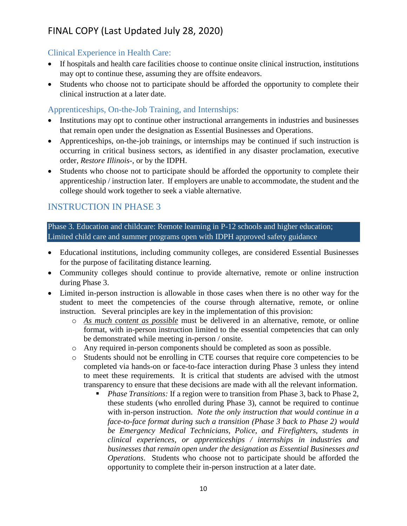#### <span id="page-9-0"></span>Clinical Experience in Health Care:

- If hospitals and health care facilities choose to continue onsite clinical instruction, institutions may opt to continue these, assuming they are offsite endeavors.
- Students who choose not to participate should be afforded the opportunity to complete their clinical instruction at a later date.

### <span id="page-9-1"></span>Apprenticeships, On-the-Job Training, and Internships:

- Institutions may opt to continue other instructional arrangements in industries and businesses that remain open under the designation as Essential Businesses and Operations.
- Apprenticeships, on-the-job trainings, or internships may be continued if such instruction is occurring in critical business sectors, as identified in any disaster proclamation, executive order, *Restore Illinois*-, or by the IDPH.
- Students who choose not to participate should be afforded the opportunity to complete their apprenticeship / instruction later. If employers are unable to accommodate, the student and the college should work together to seek a viable alternative.

### <span id="page-9-2"></span>INSTRUCTION IN PHASE 3

Phase 3. Education and childcare: Remote learning in P-12 schools and higher education; Limited child care and summer programs open with IDPH approved safety guidance

- Educational institutions, including community colleges, are considered Essential Businesses for the purpose of facilitating distance learning.
- Community colleges should continue to provide alternative, remote or online instruction during Phase 3.
- Limited in-person instruction is allowable in those cases when there is no other way for the student to meet the competencies of the course through alternative, remote, or online instruction. Several principles are key in the implementation of this provision:
	- o *As much content as possible* must be delivered in an alternative, remote, or online format, with in-person instruction limited to the essential competencies that can only be demonstrated while meeting in-person / onsite.
	- o Any required in-person components should be completed as soon as possible.
	- o Students should not be enrolling in CTE courses that require core competencies to be completed via hands-on or face-to-face interaction during Phase 3 unless they intend to meet these requirements. It is critical that students are advised with the utmost transparency to ensure that these decisions are made with all the relevant information.
		- *Phase Transitions:* If a region were to transition from Phase 3, back to Phase 2, these students (who enrolled during Phase 3), cannot be required to continue with in-person instruction. *Note the only instruction that would continue in a face-to-face format during such a transition (Phase 3 back to Phase 2) would be Emergency Medical Technicians, Police, and Firefighters, students in clinical experiences, or apprenticeships / internships in industries and businesses that remain open under the designation as Essential Businesses and Operations*. Students who choose not to participate should be afforded the opportunity to complete their in-person instruction at a later date.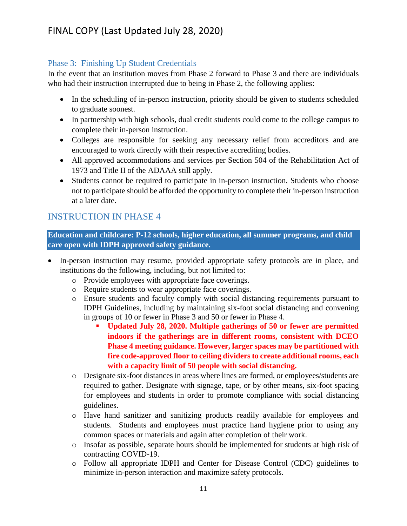#### <span id="page-10-0"></span>Phase 3: Finishing Up Student Credentials

In the event that an institution moves from Phase 2 forward to Phase 3 and there are individuals who had their instruction interrupted due to being in Phase 2, the following applies:

- In the scheduling of in-person instruction, priority should be given to students scheduled to graduate soonest.
- In partnership with high schools, dual credit students could come to the college campus to complete their in-person instruction.
- Colleges are responsible for seeking any necessary relief from accreditors and are encouraged to work directly with their respective accrediting bodies.
- All approved accommodations and services per Section 504 of the Rehabilitation Act of 1973 and Title II of the ADAAA still apply.
- Students cannot be required to participate in in-person instruction. Students who choose not to participate should be afforded the opportunity to complete their in-person instruction at a later date.

### <span id="page-10-1"></span>INSTRUCTION IN PHASE 4

**Education and childcare: P-12 schools, higher education, all summer programs, and child care open with IDPH approved safety guidance.**

- In-person instruction may resume, provided appropriate safety protocols are in place, and institutions do the following, including, but not limited to:
	- o Provide employees with appropriate face coverings.
	- o Require students to wear appropriate face coverings.
	- o Ensure students and faculty comply with social distancing requirements pursuant to IDPH Guidelines, including by maintaining six-foot social distancing and convening in groups of 10 or fewer in Phase 3 and 50 or fewer in Phase 4.
		- **Updated July 28, 2020. Multiple gatherings of 50 or fewer are permitted indoors if the gatherings are in different rooms, consistent with DCEO Phase 4 meeting guidance. However, larger spaces may be partitioned with fire code-approved floor to ceiling dividers to create additional rooms, each with a capacity limit of 50 people with social distancing.**
	- o Designate six-foot distances in areas where lines are formed, or employees/students are required to gather. Designate with signage, tape, or by other means, six-foot spacing for employees and students in order to promote compliance with social distancing guidelines.
	- o Have hand sanitizer and sanitizing products readily available for employees and students. Students and employees must practice hand hygiene prior to using any common spaces or materials and again after completion of their work.
	- o Insofar as possible, separate hours should be implemented for students at high risk of contracting COVID-19.
	- o Follow all appropriate IDPH and Center for Disease Control (CDC) guidelines to minimize in-person interaction and maximize safety protocols.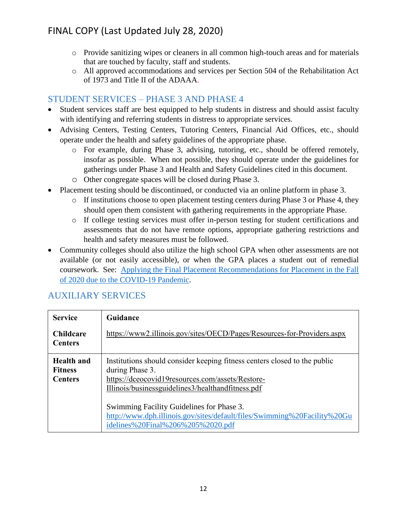- o Provide sanitizing wipes or cleaners in all common high-touch areas and for materials that are touched by faculty, staff and students.
- o All approved accommodations and services per Section 504 of the Rehabilitation Act of 1973 and Title II of the ADAAA.

### <span id="page-11-0"></span>STUDENT SERVICES – PHASE 3 AND PHASE 4

- Student services staff are best equipped to help students in distress and should assist faculty with identifying and referring students in distress to appropriate services.
- Advising Centers, Testing Centers, Tutoring Centers, Financial Aid Offices, etc., should operate under the health and safety guidelines of the appropriate phase.
	- o For example, during Phase 3, advising, tutoring, etc., should be offered remotely, insofar as possible. When not possible, they should operate under the guidelines for gatherings under Phase 3 and Health and Safety Guidelines cited in this document.
	- o Other congregate spaces will be closed during Phase 3.
- Placement testing should be discontinued, or conducted via an online platform in phase 3.
	- o If institutions choose to open placement testing centers during Phase 3 or Phase 4, they should open them consistent with gathering requirements in the appropriate Phase.
	- o If college testing services must offer in-person testing for student certifications and assessments that do not have remote options, appropriate gathering restrictions and health and safety measures must be followed.
- Community colleges should also utilize the high school GPA when other assessments are not available (or not easily accessible), or when the GPA places a student out of remedial coursework. See: [Applying the Final Placement Recommendations for Placement in the Fall](https://www.iccb.org/iccb/wp-content/uploads/2020/06/Placement_Guidance_for_Fall_2020_COVID-19_Response.pdf)  [of 2020 due to the COVID-19 Pandemic.](https://www.iccb.org/iccb/wp-content/uploads/2020/06/Placement_Guidance_for_Fall_2020_COVID-19_Response.pdf)

| <b>Service</b>                                        | Guidance                                                                                                                                                                                              |
|-------------------------------------------------------|-------------------------------------------------------------------------------------------------------------------------------------------------------------------------------------------------------|
| <b>Childcare</b><br><b>Centers</b>                    | https://www2.illinois.gov/sites/OECD/Pages/Resources-for-Providers.aspx                                                                                                                               |
| <b>Health</b> and<br><b>Fitness</b><br><b>Centers</b> | Institutions should consider keeping fitness centers closed to the public<br>during Phase 3.<br>https://dceocovid19resources.com/assets/Restore-<br>Illinois/businessguidelines3/healthandfitness.pdf |
|                                                       | Swimming Facility Guidelines for Phase 3.<br>http://www.dph.illinois.gov/sites/default/files/Swimming%20Facility%20Gu<br>idelines%20Final%206%205%2020.pdf                                            |

### <span id="page-11-1"></span>AUXILIARY SERVICES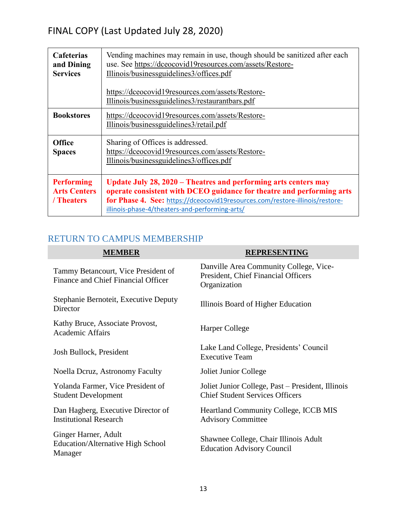| <b>Cafeterias</b><br>and Dining<br><b>Services</b>     | Vending machines may remain in use, though should be sanitized after each<br>use. See https://dceocovid19resources.com/assets/Restore-<br>Illinois/businessguidelines3/offices.pdf<br>https://dceocovid19resources.com/assets/Restore-                                     |
|--------------------------------------------------------|----------------------------------------------------------------------------------------------------------------------------------------------------------------------------------------------------------------------------------------------------------------------------|
|                                                        | Illinois/businessguidelines3/restaurantbars.pdf                                                                                                                                                                                                                            |
| <b>Bookstores</b>                                      | https://dceocovid19resources.com/assets/Restore-<br>Illinois/businessguidelines3/retail.pdf                                                                                                                                                                                |
| <b>Office</b><br><b>Spaces</b>                         | Sharing of Offices is addressed.<br>https://dceocovid19resources.com/assets/Restore-<br>Illinois/businessguidelines3/offices.pdf                                                                                                                                           |
| <b>Performing</b><br><b>Arts Centers</b><br>/ Theaters | Update July 28, 2020 – Theatres and performing arts centers may<br>operate consistent with DCEO guidance for theatre and performing arts<br>for Phase 4. See: https://dceocovid19resources.com/restore-illinois/restore-<br>illinois-phase-4/theaters-and-performing-arts/ |

## <span id="page-12-0"></span>RETURN TO CAMPUS MEMBERSHIP

| <b>MEMBER</b>                                                               | <b>REPRESENTING</b>                                                                           |
|-----------------------------------------------------------------------------|-----------------------------------------------------------------------------------------------|
| Tammy Betancourt, Vice President of<br>Finance and Chief Financial Officer  | Danville Area Community College, Vice-<br>President, Chief Financial Officers<br>Organization |
| Stephanie Bernoteit, Executive Deputy<br>Director                           | Illinois Board of Higher Education                                                            |
| Kathy Bruce, Associate Provost,<br><b>Academic Affairs</b>                  | Harper College                                                                                |
| Josh Bullock, President                                                     | Lake Land College, Presidents' Council<br><b>Executive Team</b>                               |
| Noella Deruz, Astronomy Faculty                                             | Joliet Junior College                                                                         |
| Yolanda Farmer, Vice President of<br><b>Student Development</b>             | Joliet Junior College, Past – President, Illinois<br><b>Chief Student Services Officers</b>   |
| Dan Hagberg, Executive Director of<br><b>Institutional Research</b>         | <b>Heartland Community College, ICCB MIS</b><br><b>Advisory Committee</b>                     |
| Ginger Harner, Adult<br><b>Education/Alternative High School</b><br>Manager | Shawnee College, Chair Illinois Adult<br><b>Education Advisory Council</b>                    |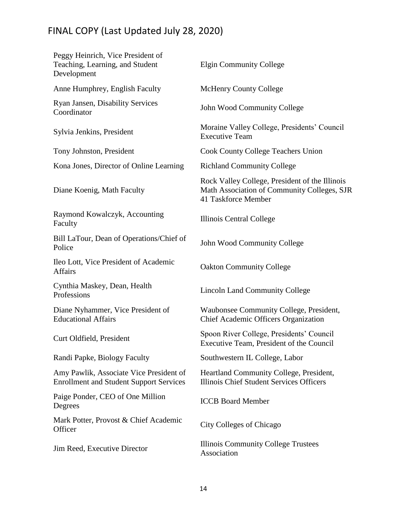| Peggy Heinrich, Vice President of<br>Teaching, Learning, and Student<br>Development       | <b>Elgin Community College</b>                                                                                       |
|-------------------------------------------------------------------------------------------|----------------------------------------------------------------------------------------------------------------------|
| Anne Humphrey, English Faculty                                                            | <b>McHenry County College</b>                                                                                        |
| Ryan Jansen, Disability Services<br>Coordinator                                           | John Wood Community College                                                                                          |
| Sylvia Jenkins, President                                                                 | Moraine Valley College, Presidents' Council<br><b>Executive Team</b>                                                 |
| Tony Johnston, President                                                                  | <b>Cook County College Teachers Union</b>                                                                            |
| Kona Jones, Director of Online Learning                                                   | <b>Richland Community College</b>                                                                                    |
| Diane Koenig, Math Faculty                                                                | Rock Valley College, President of the Illinois<br>Math Association of Community Colleges, SJR<br>41 Taskforce Member |
| Raymond Kowalczyk, Accounting<br>Faculty                                                  | Illinois Central College                                                                                             |
| Bill LaTour, Dean of Operations/Chief of<br>Police                                        | John Wood Community College                                                                                          |
| Ileo Lott, Vice President of Academic<br><b>Affairs</b>                                   | <b>Oakton Community College</b>                                                                                      |
| Cynthia Maskey, Dean, Health<br>Professions                                               | <b>Lincoln Land Community College</b>                                                                                |
| Diane Nyhammer, Vice President of<br><b>Educational Affairs</b>                           | Waubonsee Community College, President,<br>Chief Academic Officers Organization                                      |
| Curt Oldfield, President                                                                  | Spoon River College, Presidents' Council<br>Executive Team, President of the Council                                 |
| Randi Papke, Biology Faculty                                                              | Southwestern IL College, Labor                                                                                       |
| Amy Pawlik, Associate Vice President of<br><b>Enrollment and Student Support Services</b> | Heartland Community College, President,<br>Illinois Chief Student Services Officers                                  |
| Paige Ponder, CEO of One Million<br>Degrees                                               | <b>ICCB</b> Board Member                                                                                             |
| Mark Potter, Provost & Chief Academic<br>Officer                                          | City Colleges of Chicago                                                                                             |
| Jim Reed, Executive Director                                                              | Illinois Community College Trustees<br>Association                                                                   |